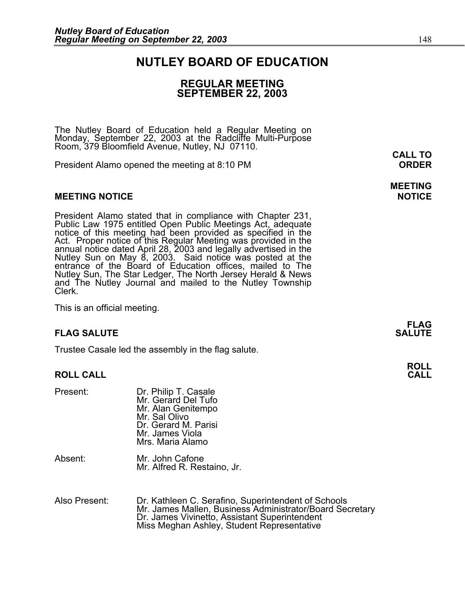### **NUTLEY BOARD OF EDUCATION**

### **REGULAR MEETING SEPTEMBER 22, 2003**

The Nutley Board of Education held a Regular Meeting on Monday, September 22, 2003 at the Radcliffe Multi-Purpose Room, 379 Bloomfield Avenue, Nutley, NJ 07110.

President Alamo opened the meeting at 8:10 PM **ORDER**

### **MEETING NOTICE NOTICE AND INCLUSION CONTROL**

President Alamo stated that in compliance with Chapter 231,<br>Public Law 1975 entitled Open Public Meetings Act, adequate<br>notice of this meeting had been provided as specified in the<br>Act. Proper notice of this Regular Meetin annual notice dated April 28, 2003 and legally advertised in the<br>Nutley Sun on May 8, 2003. Said notice was posted at the<br>entrance of the Board of Education offices, mailed to The entrance of the Board of Education offices, mailed to The Nutley Sun, The Star Ledger, The North Jersey Herald & News and The Nutley Journal and mailed to the Nutley Township Clerk.

This is an official meeting.

### **FLAG SALUTE SALUTE SALUTE**

Trustee Casale led the assembly in the flag salute.

### **ROLL CALL CALL**

| Present: | Dr. Philip T. Casale<br>Mr. Gerard Del Tufo<br>Mr. Alan Genitempo<br>Mr. Sal Olivo<br>Dr. Gerard M. Parisi<br>Mr. James Viola<br>Mrs. Maria Alamo |
|----------|---------------------------------------------------------------------------------------------------------------------------------------------------|
| Absent:  | Mr. John Cafone<br>Mr. Alfred R. Restaino, Jr.                                                                                                    |
|          |                                                                                                                                                   |

Also Present: Dr. Kathleen C. Serafino, Superintendent of Schools Mr. James Mallen, Business Administrator/Board Secretary<br>Dr. James Vivinetto, Assistant Superintendent<br>Miss Meghan Ashley, Student Representative

**MEETING** 

**FLAG** 

## **CALL TO**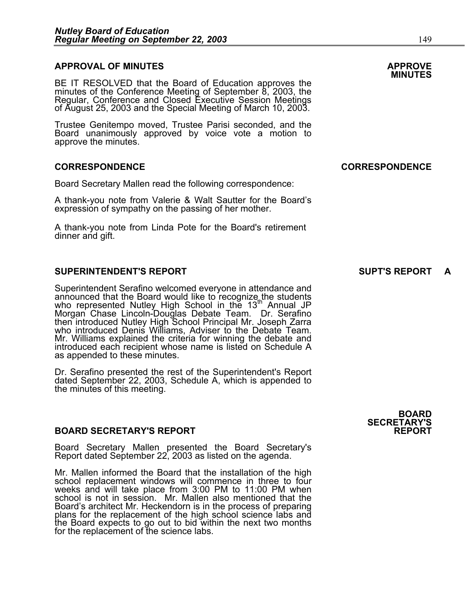## **APPROVAL OF MINUTES APPROVE**

BE IT RESOLVED that the Board of Education approves the minutes of the Conference Meeting of September 8, 2003, the Regular, Conference and Closed Executive Session Meetings of August 25, 2003 and the Special Meeting of Ma

Trustee Genitempo moved, Trustee Parisi seconded, and the Board unanimously approved by voice vote a motion to approve the minutes.

### **CORRESPONDENCE CORRESPONDENCE**

Board Secretary Mallen read the following correspondence:

A thank-you note from Valerie & Walt Sautter for the Board's expression of sympathy on the passing of her mother.

A thank-you note from Linda Pote for the Board's retirement dinner and gift.

### **SUPERINTENDENT'S REPORT A SUPT'S REPORT A**

Superintendent Serafino welcomed everyone in attendance and announced that the Board would like to recognize the students<br>who represented Nutley High School in the 13<sup>th</sup> Annual JP Morgan Chase Lincoln-Douglas Debate Team. Dr. Serafino then introduced Nutley High School Principal Mr. Joseph Zarra who introduced Denis Williams, Adviser to the Debate Team. Mr. Williams explained the criteria for winning the debate and introduced each recipient whose name is listed on Schedule A as appended to these minutes.

Dr. Serafino presented the rest of the Superintendent's Report dated September 22, 2003, Schedule A, which is appended to the minutes of this meeting.

### **BOARD SECRETARY'S REPORT**

Board Secretary Mallen presented the Board Secretary's Report dated September 22, 2003 as listed on the agenda.

Mr. Mallen informed the Board that the installation of the high school replacement windows will commence in three to four weeks and will take place from 3:00 PM to 11:00 PM when school is not in session. Mr. Mallen also mentioned that the Board's architect Mr. Heckendorn is in the process of preparing Board's architect Mr. Heckendorn is in the process of preparing plans for the replacement of the high school science labs and the Board expects to go out to bid within the next two months for the replacement of the science labs.

### **BOARD SECRETARY'S**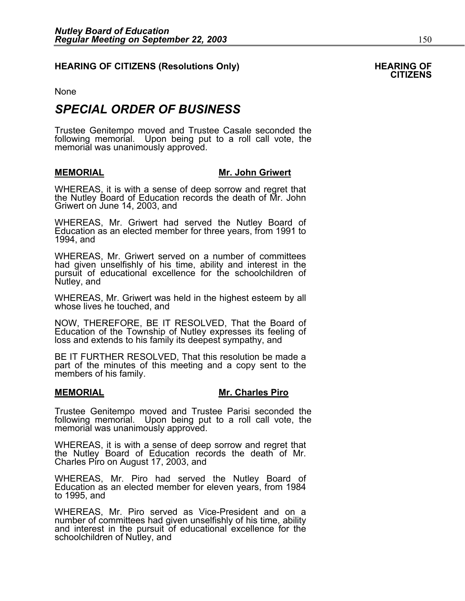### HEARING OF CITIZENS (Resolutions Only) **HEARING OF SEARING** OF

None

### *SPECIAL ORDER OF BUSINESS*

Trustee Genitempo moved and Trustee Casale seconded the following memorial. Upon being put to a roll call vote, the memorial was unanimously approved.

### **MEMORIAL Mr. John Griwert**

WHEREAS, it is with a sense of deep sorrow and regret that the Nutley Board of Education records the death of Mr. John Griwert on June 14, 2003, and

WHEREAS, Mr. Griwert had served the Nutley Board of Education as an elected member for three years, from 1991 to 1994, and

WHEREAS, Mr. Griwert served on a number of committees had given unselfishly of his time, ability and interest in the pursuit of educational excellence for the schoolchildren of Nutley, and

WHEREAS, Mr. Griwert was held in the highest esteem by all whose lives he touched, and

NOW, THEREFORE, BE IT RESOLVED, That the Board of Education of the Township of Nutley expresses its feeling of loss and extends to his family its deepest sympathy, and

BE IT FURTHER RESOLVED, That this resolution be made a part of the minutes of this meeting and a copy sent to the members of his family.

### **MEMORIAL Mr. Charles Piro**

Trustee Genitempo moved and Trustee Parisi seconded the following memorial. Upon being put to a roll call vote, the memorial was unanimously approved.

WHEREAS, it is with a sense of deep sorrow and regret that the Nutley Board of Education records the death of Mr. Charles Piro on August 17, 2003, and

WHEREAS, Mr. Piro had served the Nutley Board of Education as an elected member for eleven years, from 1984 to 1995, and

WHEREAS, Mr. Piro served as Vice-President and on a number of committees had given unselfishly of his time, ability and interest in the pursuit of educational excellence for the schoolchildren of Nutley, and

## **CITIZENS**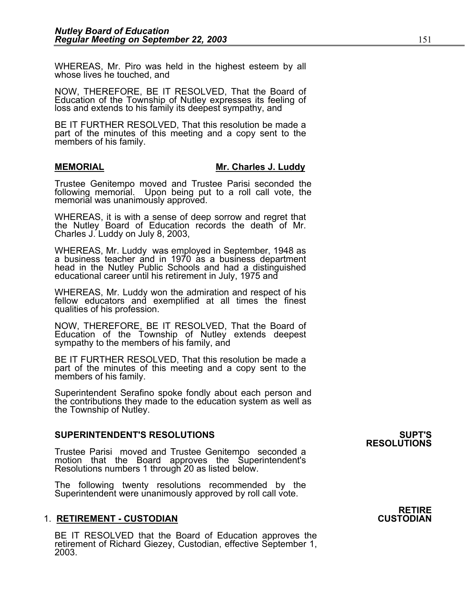WHEREAS, Mr. Piro was held in the highest esteem by all whose lives he touched, and

NOW, THEREFORE, BE IT RESOLVED, That the Board of Education of the Township of Nutley expresses its feeling of loss and extends to his family its deepest sympathy, and

BE IT FURTHER RESOLVED, That this resolution be made a part of the minutes of this meeting and a copy sent to the members of his family.

### **MEMORIAL Mr. Charles J. Luddy**

Trustee Genitempo moved and Trustee Parisi seconded the following memorial. Upon being put to a roll call vote, the memorial was unanimously approved.

WHEREAS, it is with a sense of deep sorrow and regret that the Nutley Board of Education records the death of Mr. Charles J. Luddy on July 8, 2003,

WHEREAS, Mr. Luddy was employed in September, 1948 as a business teacher and in 1970 as a business department head in the Nutley Public Schools and had a distinguished educational career until his retirement in July, 1975 and

WHEREAS, Mr. Luddy won the admiration and respect of his fellow educators and exemplified at all times the finest qualities of his profession.

NOW, THEREFORE, BE IT RESOLVED, That the Board of Education of the Township of Nutley extends deepest sympathy to the members of his family, and

BE IT FURTHER RESOLVED, That this resolution be made a part of the minutes of this meeting and a copy sent to the members of his family.

Superintendent Serafino spoke fondly about each person and the contributions they made to the education system as well as the Township of Nutley.

### **SUPERINTENDENT'S RESOLUTIONS SUPT'S**

Trustee Parisi moved and Trustee Genitempo seconded a motion that the Board approves the Superintendent's Resolutions numbers 1 through 20 as listed below.

The following twenty resolutions recommended by the Superintendent were unanimously approved by roll call vote.

### 1. **RETIREMENT - CUSTODIAN CUSTODIAN**

BE IT RESOLVED that the Board of Education approves the retirement of Richard Giezey, Custodian, effective September 1, 2003.

## **RESOLUTIONS**

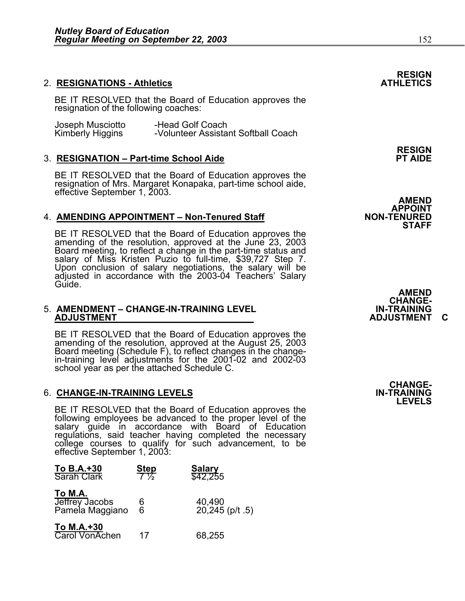### **2. RESIGNATIONS - Athletics**

BE IT RESOLVED that the Board of Education approves the resignation of the following coaches:

| Joseph Musciotto | -Head Golf Coach                    |
|------------------|-------------------------------------|
| Kimberly Higgins | -Volunteer Assistant Softball Coach |

### **3. RESIGNATION – Part-time School Aide**

BE IT RESOLVED that the Board of Education approves the resignation of Mrs. Margaret Konapaka, part-time school aide, effective September 1, 2003.

### 4. **AMENDING APPOINTMENT - Non-Tenured Staff**

BE IT RESOLVED that the Board of Education approves the<br>amending of the resolution, approved at the June 23, 2003<br>Board meeting, to reflect a change in the part-time status and<br>salary of Miss Kristen Puzio to full-time, \$3

### **5. AMENDMENT - CHANGE-IN-TRAINING LEVEL ADJUSTMENT ADJUSTMENT C**

BE IT RESOLVED that the Board of Education approves the amending of the resolution, approved at the August 25, 2003<br>Board meeting (Schedule F), to reflect changes in the change-<br>in-training level adjustments for the 2001-0 school year as per the attached Schedule C.

### **6. CHANGE-IN-TRAINING LEVELS**

BE IT RESOLVED that the Board of Education approves the following employees be advanced to the proper level of the salary guide in accordance with Board of Education regulations, said teacher having completed the necessary college courses to qualify for such advancement, to be effective September 1, 2003:

| <u>To B.A.+30</u><br>Sarah Clark             | $\frac{\text{Step}}{7\frac{1}{2}}$ | <b>Salary</b><br>\$42,255   |
|----------------------------------------------|------------------------------------|-----------------------------|
| To M.A.<br>Jeffrey Jacobs<br>Pamela Maggiano | 6<br>6                             | 40,490<br>$20,245$ (p/t .5) |
| To M A +30                                   |                                    |                             |

| TU M.A.TJU     |    |        |
|----------------|----|--------|
| Carol VonAchen | 17 | 68,255 |

**RESIGN<br>ATHLETICS** 

**RESIGN** 

**AMEND APPOINT STAFF** 

| <b>AMEND</b>      |  |
|-------------------|--|
| <b>CHANGE-</b>    |  |
| IN-TRAINING       |  |
| <b>ADJUSTMENT</b> |  |

-CHANGE<br>IN-TRAINING **LEVELS**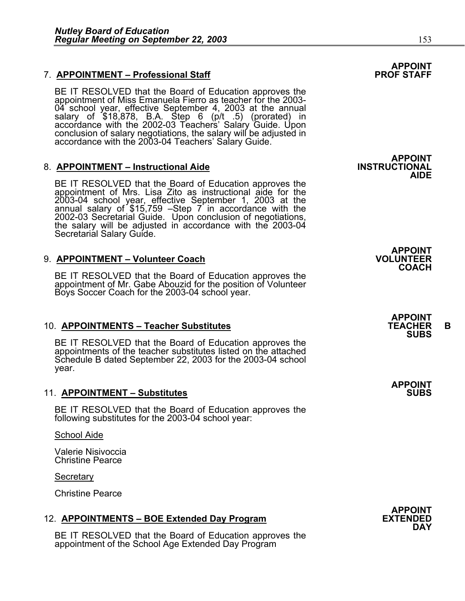### 7. **APPOINTMENT - Professional Staff**

BE IT RESOLVED that the Board of Education approves the appointment of Miss Emanuela Fierro as teacher for the 2003-04 school year, effective September 4, 2003 at the annual salary of \$18,878, B.A. Step 6 (p/t .5) (prorated) in accordance with the 2002-03 Teachers' Salary Guide. Upon<br>conclusion of salary negotiations, the salary will be adjusted in<br>accordance with the 2003-04 Teachers' Salary Guide.

### 8. **APPOINTMENT – Instructional Aide**

BE IT RESOLVED that the Board of Education approves the<br>appointment of Mrs. Lisa Zito as instructional aide for the 2003-04 school year, effective September 1, 2003 at the<br>annual salary of \$15,759 –Step 7 in accordance with the<br>2002-03 Secretarial Guide. Upon conclusion of negotiations,<br>the salary will be adjusted in accordance with the the salary will be adjusted in accordance with the 2003-04 Secretarial Salary Guide.

9. **APPOINTMENT – Volunteer Coach**<br>**COACH BE IT RESOLVED that the Board of Education approves the COACH** appointment of Mr. Gabe Abouzid for the position of Volunteer<br>Boys Soccer Coach for the 2003-04 school year.

## 10. **APPOINTMENTS – Teacher Substitutes TEACHER B SUBS**

BE IT RESOLVED that the Board of Education approves the appointments of the teacher substitutes listed on the attached Schedule B dated September 22, 2003 for the 2003-04 school year.

### 11. **APPOINTMENT – Substitutes SUBS**

BE IT RESOLVED that the Board of Education approves the following substitutes for the 2003-04 school year:

### School Aide

Valerie Nisivoccia Christine Pearce

### **Secretary**

Christine Pearce

## 12. **APPOINTMENTS – BOE Extended Day Program EXTENDED DAY**

BE IT RESOLVED that the Board of Education approves the appointment of the School Age Extended Day Program

## **APPOINT**

**APPOINT<br>INSTRUCTIONAL AIDE** 

**APPOINT** 

**APPOINT** 

**APPOINT** 

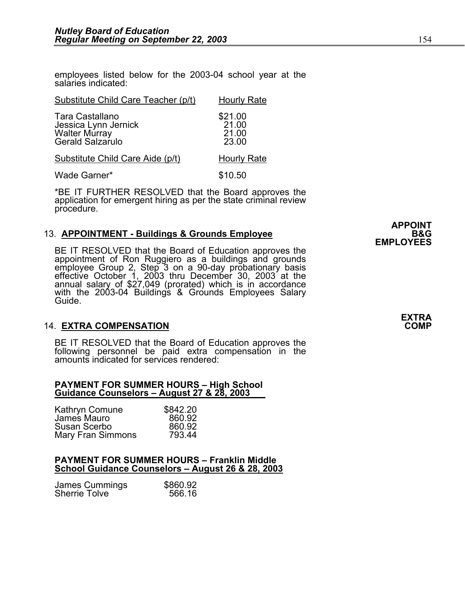employees listed below for the 2003-04 school year at the salaries indicated:

| Substitute Child Care Teacher (p/t)                                          | <b>Hourly Rate</b>                 |  |
|------------------------------------------------------------------------------|------------------------------------|--|
| Tara Castallano<br>Jessica Lynn Jernick<br>Walter Murray<br>Gerald Salzarulo | \$21.00<br>21.00<br>21.00<br>23.00 |  |
| Substitute Child Care Aide (p/t)                                             | <b>Hourly Rate</b>                 |  |
| Wade Garner*                                                                 | \$10.50                            |  |

\*BE IT FURTHER RESOLVED that the Board approves the application for emergent hiring as per the state criminal review procedure.

# **APPOINT 4 APPOINT - Buildings & Grounds Employee 4 APPOINT 5 APPOINT<br>B&G EMPLOYEES<br>BE IT RESOLVED that the Board of Education approves the**

BE IT RESOLVED that the Board of Education approves the<br>appointment of Ron Ruggiero as a buildings and grounds<br>employee Group 2, Step 3 on a 90-day probationary basis<br>effective October 1, 2003 thru December 30, 2003 at the with the 2003-04 Buildings & Gróunds Employees Salary<br>Guide.

### 14. **EXTRA COMPENSATION COMP**

BE IT RESOLVED that the Board of Education approves the following personnel be paid extra compensation in the amounts indicated for services rendered:

### **PAYMENT FOR SUMMER HOURS – High School Guidance Counselors – August 27 & 28, 2003**

| Kathryn Comune           | \$842.20 |
|--------------------------|----------|
| James Mauro              | 860.92   |
| Susan Scerbo             | 860.92   |
| <b>Mary Fran Simmons</b> | 793.44   |

### **PAYMENT FOR SUMMER HOURS – Franklin Middle School Guidance Counselors – August 26 & 28, 2003**

| James Cummings       | \$860.92 |
|----------------------|----------|
| <b>Sherrie Tolve</b> | 566.16   |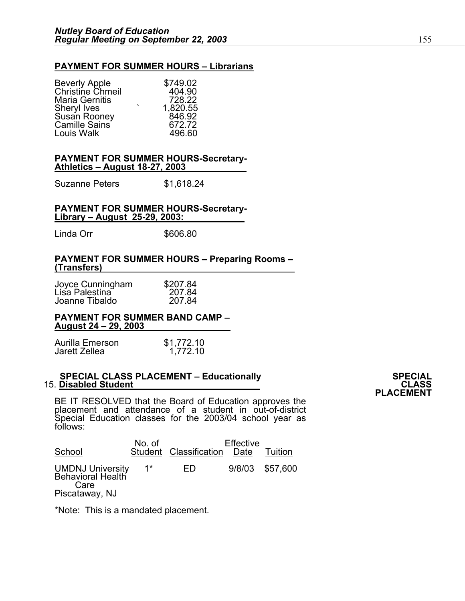### **PAYMENT FOR SUMMER HOURS – Librarians**

| <b>Beverly Apple</b>       |   | \$749.02 |
|----------------------------|---|----------|
| Christine Chmeil           |   | 404.90   |
| <b>Maria Gernitis</b>      |   | 728.22   |
| Sheryl Ives                | ۰ | 1,820.55 |
| <b>Susan Rooney</b>        |   | 846.92   |
| Camille Sains <sup>®</sup> |   | 672.72   |
| Louis Walk                 |   | 496.60   |

### **PAYMENT FOR SUMMER HOURS-Secretary-Athletics – August 18-27, 2003**

Suzanne Peters \$1,618.24

### **PAYMENT FOR SUMMER HOURS-Secretary-Library – August 25-29, 2003:**

Linda Orr \$606.80

### **PAYMENT FOR SUMMER HOURS – Preparing Rooms – (Transfers)**

| Joyce Cunningham | \$207.84 |
|------------------|----------|
| Lisa Palestina   | 207.84   |
| Joanne Tibaldo   | 207.84   |

### **PAYMENT FOR SUMMER BAND CAMP – August 24 – 29, 2003**

| Aurilla Emerson | \$1,772.10 |
|-----------------|------------|
| Jarett Zellea   | 1,772.10   |

### **SPECIAL CLASS PLACEMENT – Educationally SPECIAL SPECIAL** 15. **Disabled Student CLASS**

BE IT RESOLVED that the Board of Education approves the placement and attendance of a student in out-of-district Special Education classes for the 2003/04 school year as follows:

| School                                                                        | No. of | Student Classification Date | Effective | Tuition         |
|-------------------------------------------------------------------------------|--------|-----------------------------|-----------|-----------------|
| <b>UMDNJ University</b><br><b>Behavioral Health</b><br>Care<br>Piscataway, NJ | $1*$   | ED.                         |           | 9/8/03 \$57,600 |

\*Note: This is a mandated placement.

# **PLACEMENT**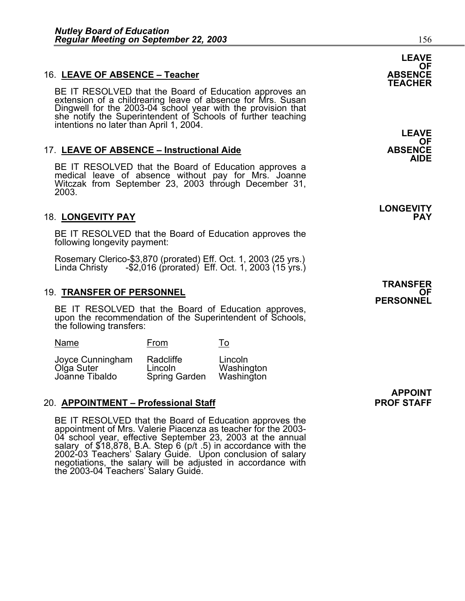## 16. LEAVE OF ABSENCE – Teacher **ABSENCE – Teacher ABSENCE**<br>TEACHER

BE IT RESOLVED that the Board of Education approves an extension of a childrearing leave of absence for Mrs. Susan Dingwell for the 2003-04 school year with the provision that she notify the Superintendent of Schools of further teaching<br>intentions no later than April 1, 2004.

### 17. LEAVE OF ABSENCE - Instructional Aide

BE IT RESOLVED that the Board of Education approves a medical leave of absence without pay for Mrs. Joanne Witczak from September 23, 2003 through December 31, 2003.

### 18. **LONGEVITY PAY PAY**

BE IT RESOLVED that the Board of Education approves the following longevity payment:

Rosemary Clerico-\$3,870 (prorated) Eff. Oct. 1, 2003 (25 yrs.) Linda Christy -\$2,016 (prorated) Eff. Oct. 1, 2003 (15 yrs.)

### **19. TRANSFER OF PERSONNEL**

BE IT RESOLVED that the Board of Education approves, upon the recommendation of the Superintendent of Schools, the following transfers:

| Name                                             | From                                  | To                                  |
|--------------------------------------------------|---------------------------------------|-------------------------------------|
| Joyce Cunningham<br>Olga Suter<br>Joanne Tibaldo | Radcliffe<br>Lincoln<br>Spring Garden | Lincoln<br>Washington<br>Washington |

### 20. **APPOINTMENT – Professional Staff PROF STAFF**

BE IT RESOLVED that the Board of Education approves the appointment of Mrs. Valerie Piacenza as teacher for the 2003- 04 school year, effective September 23, 2003 at the annual salary of \$18,878, B.A. Step 6 (p/t .5) in accordance with the 2002-03 Teachers' Salary Guide. Upon conclusion of salary negotiations, the salary will be adjusted in accordance with the 2003-04 Teachers' Salary Guide.

**LEAVE**  OF<br>ABSENCE **AIDE** 

**LONGEVITY** 

**APPOINT**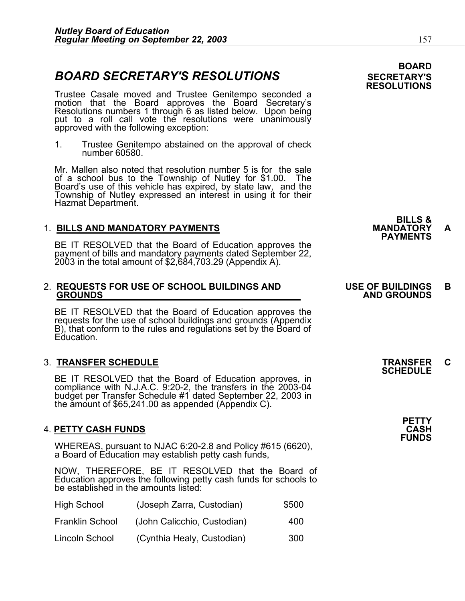### **BOARD SECRETARY'S RESOLUTIONS** SECRETARY'S

Trustee Casale moved and Trustee Genitempo seconded a motion that the Board approves the Board Secretary's Resolutions numbers 1 through 6 as listed below. Upon being put to a roll call vote the resolutions were unanimously approved with the following exception:

1. Trustee Genitempo abstained on the approval of check number 60580.

Mr. Mallen also noted that resolution number 5 is for the sale<br>of a school bus to the Township of Nutley for \$1.00. The Board's use of this vehicle has expired, by state law, and the Township of Nutley expressed an interest in using it for their Hazmat Department.

1. **BILLS AND MANDATORY PAYMENTS**<br>**PAYMENTS** BE IT RESOLVED that the Board of Education approves the **PAYMENTS** payment of bills and mandatory payments dated September 22, 2003 in the total amount of \$2,684,703.29 (Appendix A).

## 2. **REQUESTS FOR USE OF SCHOOL BUILDINGS AND USE OF BUILDINGS B GROUNDS AND GROUNDS**

BE IT RESOLVED that the Board of Education approves the requests for the use of school buildings and grounds (Appendix B), that conform to the rules and regulations set by the Board of Education.

### 3. **TRANSFER SCHEDULE TRANSFER C SCHEDULE**

BE IT RESOLVED that the Board of Education approves, in compliance with N.J.A.C. 9:20-2, the transfers in the 2003-04 budget per Transfer Schedule #1 dated September 22, 2003 in<br>the amount of \$65,241.00 as appended (Appendix C).

### **4. PETTY CASH FUNDS**

WHEREAS, pursuant to NJAC 6:20-2.8 and Policy #615 (6620), a Board of Education may establish petty cash funds,

NOW, THEREFORE, BE IT RESOLVED that the Board of Education approves the following petty cash funds for schools to be established in the amounts listed:

| <b>High School</b>     | (Joseph Zarra, Custodian)   | \$500 |
|------------------------|-----------------------------|-------|
| <b>Franklin School</b> | (John Calicchio, Custodian) | 400   |
| Lincoln School         | (Cynthia Healy, Custodian)  | -300  |

### **BOARD RESOLUTIONS**

**BILLS &** 

**PETTY FUNDS**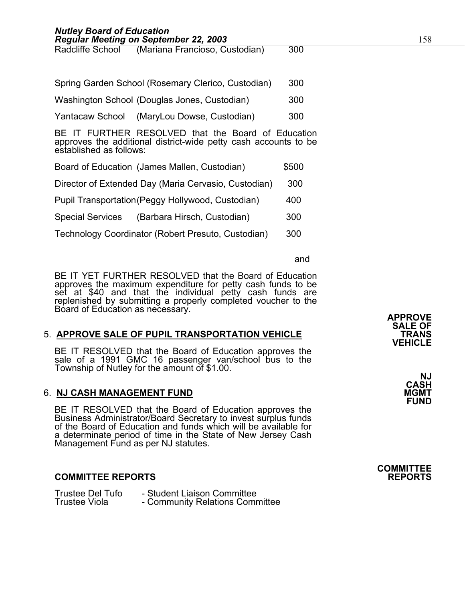| Radcliffe School                                                                                                                                 | (Mariana Francioso, Custodian)                       | 300   |  |
|--------------------------------------------------------------------------------------------------------------------------------------------------|------------------------------------------------------|-------|--|
|                                                                                                                                                  |                                                      |       |  |
| Spring Garden School (Rosemary Clerico, Custodian)<br>300                                                                                        |                                                      |       |  |
|                                                                                                                                                  | Washington School (Douglas Jones, Custodian)         | 300   |  |
| Yantacaw School                                                                                                                                  | (MaryLou Dowse, Custodian)                           | 300   |  |
| BE IT FURTHER RESOLVED that the Board of Education<br>approves the additional district-wide petty cash accounts to be<br>established as follows: |                                                      |       |  |
|                                                                                                                                                  | Board of Education (James Mallen, Custodian)         | \$500 |  |
|                                                                                                                                                  | Director of Extended Day (Maria Cervasio, Custodian) | 300   |  |
|                                                                                                                                                  | Pupil Transportation (Peggy Hollywood, Custodian)    | 400   |  |
| <b>Special Services</b>                                                                                                                          | (Barbara Hirsch, Custodian)                          | 300   |  |
| Technology Coordinator (Robert Presuto, Custodian)<br>300                                                                                        |                                                      |       |  |

and and the state of the state and the state of the state of the state of the state of the state of the state o<br>The state of the state of the state of the state of the state of the state of the state of the state of the st

BE IT YET FURTHER RESOLVED that the Board of Education approves the maximum expenditure for petty cash funds to be set at \$40 and that the individual petty cash funds are replenished by submitting a properly completed voucher to the Board of Education as necessary.

### **5. APPROVE SALE OF PUPIL TRANSPORTATION VEHICLE**

BE IT RESOLVED that the Board of Education approves the sale of a 1991 GMC 16 passenger van/school bus to the Township of Nutley for the amount of \$1.00.

### **6. NJ CASH MANAGEMENT FUND**

BE IT RESOLVED that the Board of Education approves the Business Administrator/Board Secretary to invest surplus funds of the Board of Education and funds which will be available for a determinate period of time in the State of New Jersey Cash Management Fund as per NJ statutes.

### **COMMITTEE REPORTS REPORTS**

| Trustee Del Tufo | - Student Liaison Committee     |
|------------------|---------------------------------|
| Trustee Viola    | - Community Relations Committee |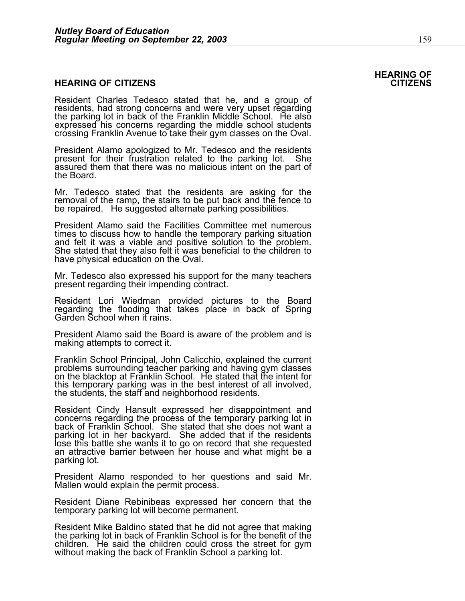### **HEARING OF CITIZENS CITIZENS**

Resident Charles Tedesco stated that he, and a group of residents, had strong concerns and were very upset regarding the parking lot in back of the Franklin Middle School. He also expressed his concerns regarding the middl crossing Franklin Avenue to take their gym classes on the Oval.

President Alamo apologized to Mr. Tedesco and the residents present for their frustration related to the parking lot. She assured them that there was no malicious intent on the part of the Board.

Mr. Tedesco stated that the residents are asking for the removal of the ramp, the stairs to be put back and the fence to be repaired. He suggested alternate parking possibilities.

President Alamo said the Facilities Committee met numerous times to discuss how to handle the temporary parking situation and felt it was a viable and positive solution to the problem. She stated that they also felt it was beneficial to the children to have physical education on the Oval.

Mr. Tedesco also expressed his support for the many teachers present regarding their impending contract.

Resident Lori Wiedman provided pictures to the Board regarding the flooding that takes place in back of Spring Garden School when it rains.

President Alamo said the Board is aware of the problem and is making attempts to correct it.

Franklin School Principal, John Calicchio, explained the current problems surrounding teacher parking and having gym classes<br>on the blacktop at Franklin School. He stated that the intent for this temporary parking was in the best interest of all involved, the students, the staff and neighborhood residents.

Resident Cindy Hansult expressed her disappointment and concerns regarding the process of the temporary parking lot in back of Franklin School. She stated that she does not want a parking lot in her backyard. She added that if the residents lose this battle she wants it to go on record that she requested an attractive barrier between her house and what might be a parking lot.

President Alamo responded to her questions and said Mr. Mallen would explain the permit process.

Resident Diane Rebinibeas expressed her concern that the temporary parking lot will become permanent.

Resident Mike Baldino stated that he did not agree that making the parking lot in back of Franklin School is for the benefit of the children. He said the children could cross the street for gym without making the back of Franklin School a parking lot.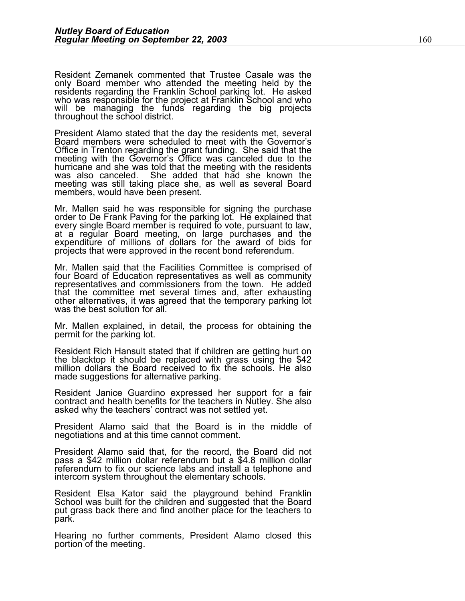Resident Zemanek commented that Trustee Casale was the only Board member who attended the meeting held by the residents regarding the Franklin School parking lot. He asked who was responsible for the project at Franklin School and who will be managing the funds regarding the big projects throughout the school district.

President Alamo stated that the day the residents met, several Board members were scheduled to meet with the Governor's meeting with the Governor's Office was canceled due to the hurricane and she was told that the meeting with the residents was also canceled. She added that had she known the meeting was still taking place she, as well as several Board members, would have been present.

Mr. Mallen said he was responsible for signing the purchase order to De Frank Paving for the parking lot. He explained that every single Board member is required to vote, pursuant to law, at a regular Board meeting, on large purchases and the expenditure of millions of dollars for the award of bids for projects that were approved in the recent bond referendum.

Mr. Mallen said that the Facilities Committee is comprised of four Board of Education representatives as well as community representatives and commissioners from the town. He added that the committee met several times and, other alternatives, it was agreed that the temporary parking lot was the best solution for all.

Mr. Mallen explained, in detail, the process for obtaining the permit for the parking lot.

Resident Rich Hansult stated that if children are getting hurt on the blacktop it should be replaced with grass using the \$42 million dollars the Board received to fix the schools. He also made suggestions for alternative parking.

Resident Janice Guardino expressed her support for a fair contract and health benefits for the teachers in Nutley. She also asked why the teachers' contract was not settled yet.

President Alamo said that the Board is in the middle of negotiations and at this time cannot comment.

President Alamo said that, for the record, the Board did not pass a \$42 million dollar referendum but a \$4.8 million dollar referendum to fix our science labs and install a telephone and intercom system throughout the elementary schools.

Resident Elsa Kator said the playground behind Franklin School was built for the children and suggested that the Board put grass back there and find another place for the teachers to park.

Hearing no further comments, President Alamo closed this portion of the meeting.